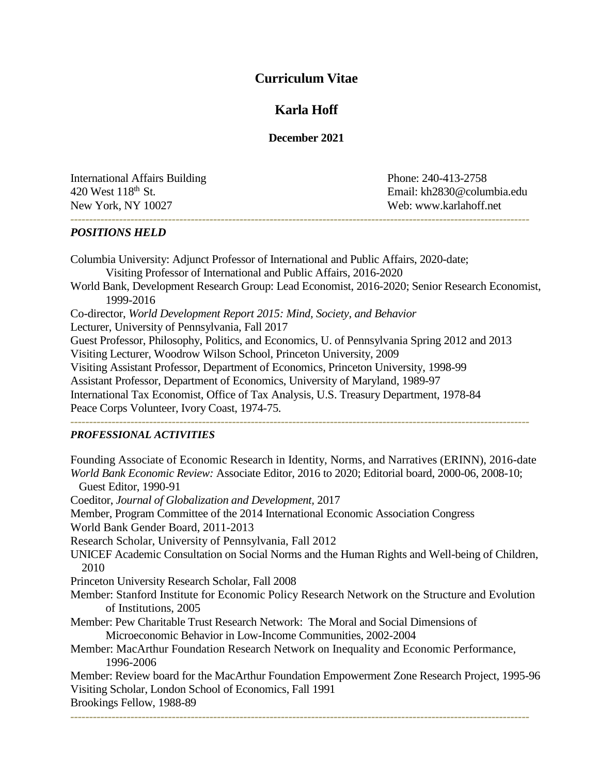# **Curriculum Vitae**

# **Karla Hoff**

## **December 2021**

International Affairs Building Phone: 240-413-2758 New York, NY 10027 Web: www.karlahoff.net

420 West 118<sup>th</sup> St. Email: kh2830@columbia.edu *--------------------------------------------------------------------------------------------------------------------------*

*POSITIONS HELD*

Columbia University: Adjunct Professor of International and Public Affairs, 2020-date; Visiting Professor of International and Public Affairs, 2016-2020 World Bank, Development Research Group: Lead Economist, 2016-2020; Senior Research Economist, 1999-2016 Co-director, *[World Development Report 2015: Mind, Society, and Behavior](https://www.worldbank.org/en/publication/wdr2015)* Lecturer, University of Pennsylvania, Fall 2017 Guest Professor, Philosophy, Politics, and Economics, U. of Pennsylvania Spring 2012 and 2013 Visiting Lecturer, Woodrow Wilson School, Princeton University, 2009 Visiting Assistant Professor, Department of Economics, Princeton University, 1998-99 Assistant Professor, Department of Economics, University of Maryland, 1989-97 International Tax Economist, Office of Tax Analysis, U.S. Treasury Department, 1978-84 Peace Corps Volunteer, Ivory Coast, 1974-75.

*--------------------------------------------------------------------------------------------------------------------------*

#### *PROFESSIONAL ACTIVITIES*

Founding Associate of Economic Research in Identity, Norms, and Narratives (ERINN), 2016-date *World Bank Economic Review:* Associate Editor*,* 2016 to 2020; Editorial board, 2000-06, 2008-10; Guest Editor, 1990-91 Coeditor, *Journal of Globalization and Development,* 2017 Member, Program Committee of the 2014 International Economic Association Congress World Bank Gender Board, 2011-2013 Research Scholar, University of Pennsylvania, Fall 2012 UNICEF Academic Consultation on Social Norms and the Human Rights and Well-being of Children, 2010 Princeton University Research Scholar, Fall 2008 Member: Stanford Institute for Economic Policy Research Network on the Structure and Evolution of Institutions, 2005 Member: Pew Charitable Trust Research Network: The Moral and Social Dimensions of Microeconomic Behavior in Low-Income Communities, 2002-2004 Member: MacArthur Foundation Research Network on Inequality and Economic Performance, 1996-2006 Member: Review board for the MacArthur Foundation Empowerment Zone Research Project, 1995-96 Visiting Scholar, London School of Economics, Fall 1991 Brookings Fellow, 1988-89 *--------------------------------------------------------------------------------------------------------------------------*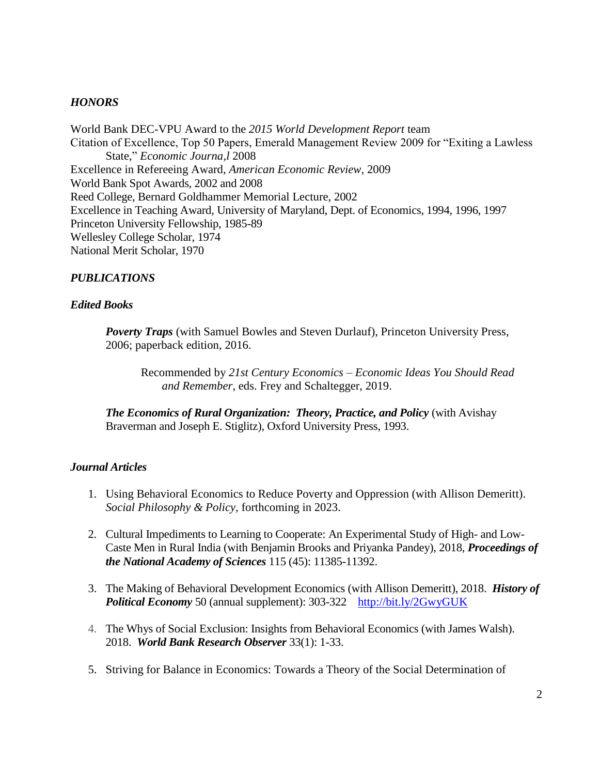# *HONORS*

World Bank DEC-VPU Award to the *2015 World Development Report* team Citation of Excellence, Top 50 Papers, Emerald Management Review 2009 for "Exiting a Lawless State," *Economic Journa,l* 2008 Excellence in Refereeing Award, *American Economic Review,* 2009 World Bank Spot Awards, 2002 and 2008 Reed College, Bernard Goldhammer Memorial Lecture, 2002 Excellence in Teaching Award, University of Maryland, Dept. of Economics, 1994, 1996, 1997 Princeton University Fellowship, 1985-89 Wellesley College Scholar, 1974 National Merit Scholar, 1970

# *PUBLICATIONS*

### *Edited Books*

*Poverty Traps* (with Samuel Bowles and Steven Durlauf), Princeton University Press, 2006; paperback edition, 2016.

Recommended by *21st Century Economics – Economic Ideas You Should Read and Remember*, eds. Frey and Schaltegger, 2019.

*The Economics of Rural Organization: Theory, Practice, and Policy* (with Avishay Braverman and Joseph E. Stiglitz), Oxford University Press, 1993.

### *Journal Articles*

- 1. Using Behavioral Economics to Reduce Poverty and Oppression (with Allison Demeritt). *Social Philosophy & Policy,* forthcoming in 2023.
- 2. Cultural Impediments to Learning to Cooperate: An Experimental Study of High- and Low-Caste Men in Rural India (with Benjamin Brooks and Priyanka Pandey), 2018, *Proceedings of the National Academy of Sciences* 115 (45): 11385-11392.
- 3. The Making of Behavioral Development Economics (with Allison Demeritt), 2018. *History of Political Economy* 50 (annual supplement): 303-322 <http://bit.ly/2GwyGUK>
- 4. The Whys of Social Exclusion: Insights from Behavioral Economics (with James Walsh). 2018. *World Bank Research Observer* 33(1): 1-33.
- 5. Striving for Balance in Economics: Towards a Theory of the Social Determination of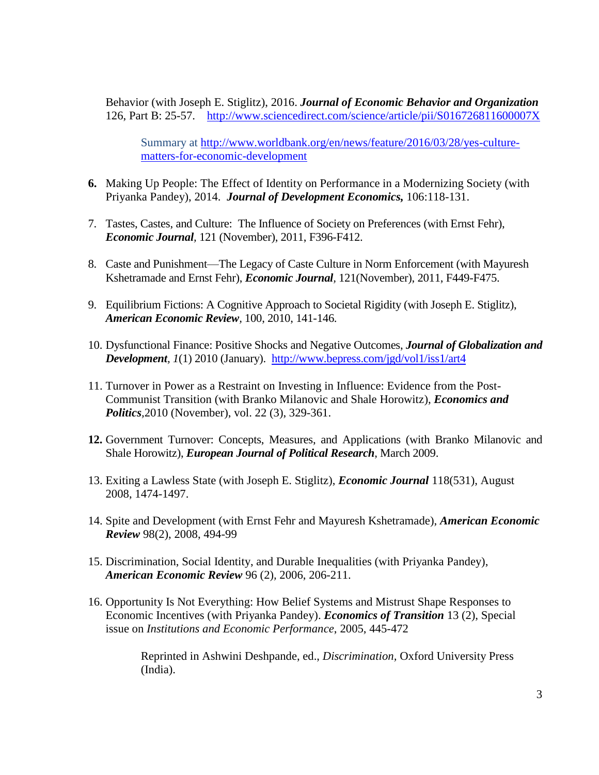Behavior (with Joseph E. Stiglitz), 2016. *Journal of Economic Behavior and Organization* 126, Part B: 25-57. <http://www.sciencedirect.com/science/article/pii/S016726811600007X>

Summary at [http://www.worldbank.org/en/news/feature/2016/03/28/yes-culture](http://www.worldbank.org/en/news/feature/2016/03/28/yes-culture-matters-for-economic-development)[matters-for-economic-development](http://www.worldbank.org/en/news/feature/2016/03/28/yes-culture-matters-for-economic-development) 

- **6.** Making Up People: The Effect of Identity on Performance in a Modernizing Society (with Priyanka Pandey), 2014. *Journal of Development Economics,* 106:118-131.
- 7. Tastes, Castes, and Culture: The Influence of Society on Preferences (with Ernst Fehr), *Economic Journal,* 121 (November), 2011, F396-F412.
- 8. Caste and Punishment—The Legacy of Caste Culture in Norm Enforcement (with Mayuresh Kshetramade and Ernst Fehr), *Economic Journal,* 121(November), 2011, F449-F475.
- 9. Equilibrium Fictions: A Cognitive Approach to Societal Rigidity (with Joseph E. Stiglitz), *American Economic Review,* 100, 2010, 141-146.
- 10. Dysfunctional Finance: Positive Shocks and Negative Outcomes, *Journal of Globalization and Development, 1*(1) 2010 (January). <http://www.bepress.com/jgd/vol1/iss1/art4>
- 11. Turnover in Power as a Restraint on Investing in Influence: Evidence from the Post-Communist Transition (with Branko Milanovic and Shale Horowitz), *Economics and Politics,*2010 (November), vol. 22 (3), 329-361.
- **12.** Government Turnover: Concepts, Measures, and Applications (with Branko Milanovic and Shale Horowitz), *European Journal of Political Research*, March 2009.
- 13. Exiting a Lawless State (with Joseph E. Stiglitz), *Economic Journal* 118(531), August 2008, 1474-1497.
- 14. Spite and Development (with Ernst Fehr and Mayuresh Kshetramade), *American Economic Review* 98(2), 2008, 494-99
- 15. Discrimination, Social Identity, and Durable Inequalities (with Priyanka Pandey), *American Economic Review* 96 (2)*,* 2006, 206-211.
- 16. Opportunity Is Not Everything: How Belief Systems and Mistrust Shape Responses to Economic Incentives (with Priyanka Pandey). *Economics of Transition* 13 (2), Special issue on *Institutions and Economic Performance*, 2005, 445-472

Reprinted in Ashwini Deshpande, ed., *Discrimination,* Oxford University Press (India).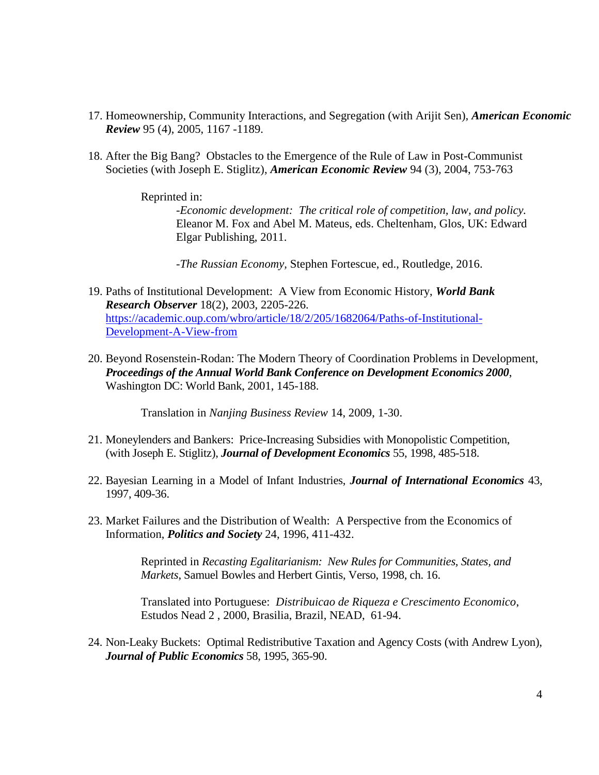- 17. Homeownership, Community Interactions, and Segregation (with Arijit Sen), *American Economic Review* 95 (4), 2005, 1167 -1189.
- 18. After the Big Bang? Obstacles to the Emergence of the Rule of Law in Post-Communist Societies (with Joseph E. Stiglitz), *American Economic Review* 94 (3)*,* 2004, 753-763

### Reprinted in:

*-Economic development: The critical role of competition, law, and policy.*  Eleanor M. Fox and Abel M. Mateus, eds. Cheltenham, Glos, UK: Edward Elgar Publishing, 2011.

-*The Russian Economy,* Stephen Fortescue, ed., Routledge, 2016.

- 19. Paths of Institutional Development: A View from Economic History, *World Bank Research Observer* 18(2), 2003, 2205-226. [https://academic.oup.com/wbro/article/18/2/205/1682064/Paths-of-Institutional-](https://academic.oup.com/wbro/article/18/2/205/1682064/Paths-of-Institutional-Development-A-View-from)[Development-A-View-from](https://academic.oup.com/wbro/article/18/2/205/1682064/Paths-of-Institutional-Development-A-View-from)
- 20. Beyond Rosenstein-Rodan: The Modern Theory of Coordination Problems in Development, *Proceedings of the Annual World Bank Conference on Development Economics 2000*, Washington DC: World Bank, 2001, 145-188.

Translation in *Nanjing Business Review* 14, 2009, 1-30.

- 21. Moneylenders and Bankers: Price-Increasing Subsidies with Monopolistic Competition, (with Joseph E. Stiglitz), *Journal of Development Economics* 55, 1998, 485-518.
- 22. Bayesian Learning in a Model of Infant Industries, *Journal of International Economics* 43, 1997, 409-36.
- 23. Market Failures and the Distribution of Wealth: A Perspective from the Economics of Information, *Politics and Society* 24, 1996, 411-432.

Reprinted in *Recasting Egalitarianism: New Rules for Communities, States, and Markets*, Samuel Bowles and Herbert Gintis, Verso, 1998, ch. 16.

Translated into Portuguese: *Distribuicao de Riqueza e Crescimento Economico*, Estudos Nead 2 , 2000, Brasilia, Brazil, NEAD, 61-94.

24. Non-Leaky Buckets: Optimal Redistributive Taxation and Agency Costs (with Andrew Lyon), *Journal of Public Economics* 58, 1995, 365-90.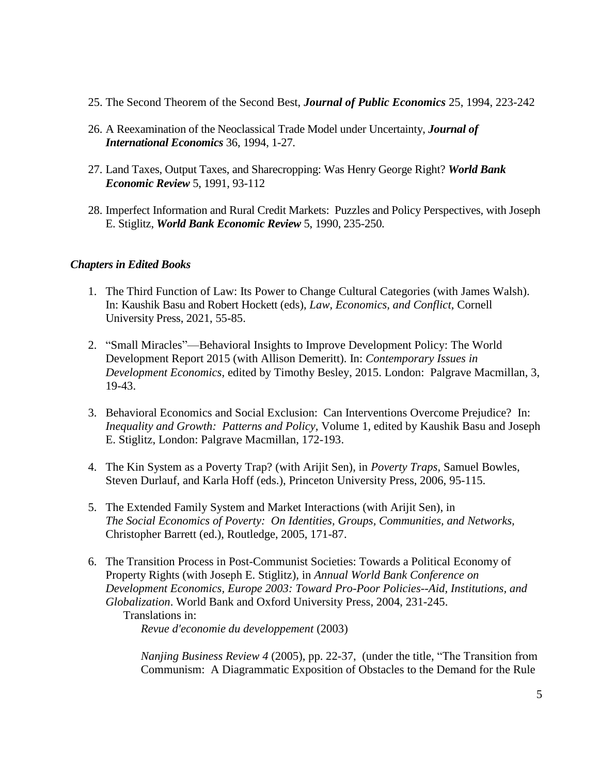- 25. The Second Theorem of the Second Best, *Journal of Public Economics* 25, 1994, 223-242
- 26. A Reexamination of the Neoclassical Trade Model under Uncertainty, *Journal of International Economics* 36, 1994, 1-27.
- 27. Land Taxes, Output Taxes, and Sharecropping: Was Henry George Right? *World Bank Economic Review* 5, 1991, 93-112
- 28. Imperfect Information and Rural Credit Markets: Puzzles and Policy Perspectives, with Joseph E. Stiglitz, *World Bank Economic Review* 5, 1990, 235-250.

### *Chapters in Edited Books*

- 1. The Third Function of Law: Its Power to Change Cultural Categories (with James Walsh). In: Kaushik Basu and Robert Hockett (eds), *Law, Economics, and Conflict,* Cornell University Press, 2021, 55-85.
- 2. "Small Miracles"—Behavioral Insights to Improve Development Policy: The World Development Report 2015 (with Allison Demeritt). In: *Contemporary Issues in Development Economics*, edited by Timothy Besley, 2015. London: Palgrave Macmillan, 3, 19-43.
- 3. Behavioral Economics and Social Exclusion: Can Interventions Overcome Prejudice? In: *Inequality and Growth: Patterns and Policy,* Volume 1, edited by Kaushik Basu and Joseph E. Stiglitz, London: Palgrave Macmillan, 172-193.
- 4. The Kin System as a Poverty Trap? (with Arijit Sen), in *Poverty Traps,* Samuel Bowles, Steven Durlauf, and Karla Hoff (eds.), Princeton University Press, 2006, 95-115.
- 5. The Extended Family System and Market Interactions (with Arijit Sen), in *The Social Economics of Poverty: On Identities, Groups, Communities, and Networks,*  Christopher Barrett (ed.), Routledge, 2005, 171-87.
- 6. The Transition Process in Post-Communist Societies: Towards a Political Economy of Property Rights (with Joseph E. Stiglitz), in *Annual World Bank Conference on Development Economics, Europe 2003: Toward Pro-Poor Policies--Aid, Institutions, and Globalization*. World Bank and Oxford University Press, 2004, 231-245. Translations in:

*Revue d'economie du developpement* (2003)

*Nanjing Business Review 4* (2005), pp. 22-37, (under the title, "The Transition from Communism: A Diagrammatic Exposition of Obstacles to the Demand for the Rule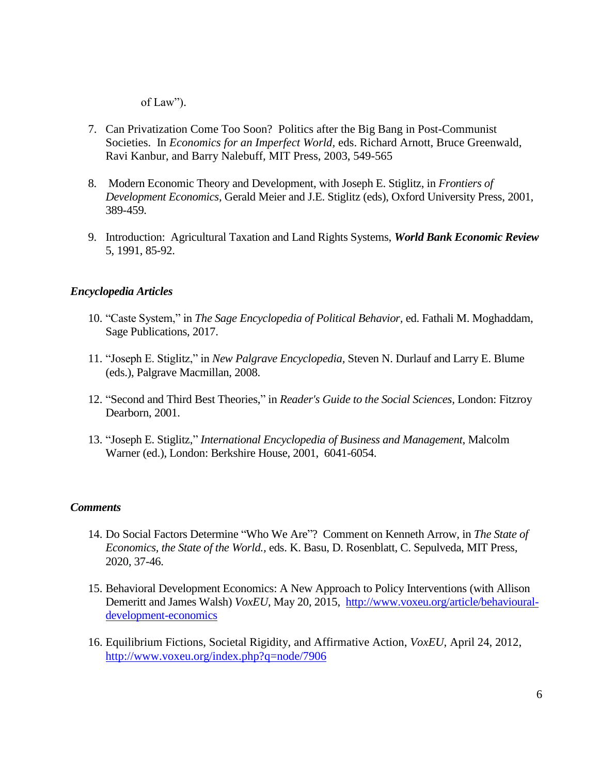of Law").

- 7. Can Privatization Come Too Soon? Politics after the Big Bang in Post-Communist Societies. In *Economics for an Imperfect World,* eds. Richard Arnott, Bruce Greenwald, Ravi Kanbur, and Barry Nalebuff*,* MIT Press, 2003, 549-565
- 8. Modern Economic Theory and Development, with Joseph E. Stiglitz, in *Frontiers of Development Economics,* Gerald Meier and J.E. Stiglitz (eds), Oxford University Press, 2001, 389-459.
- 9. Introduction: Agricultural Taxation and Land Rights Systems, *World Bank Economic Review* 5, 1991, 85-92.

# *Encyclopedia Articles*

- 10. "Caste System," in *The Sage Encyclopedia of Political Behavior,* ed. Fathali M. Moghaddam, Sage Publications, 2017.
- 11. "Joseph E. Stiglitz," in *New Palgrave Encyclopedia,* Steven N. Durlauf and Larry E. Blume (eds.), Palgrave Macmillan, 2008.
- 12. "Second and Third Best Theories," in *Reader's Guide to the Social Sciences,* London: Fitzroy Dearborn, 2001.
- 13. "Joseph E. Stiglitz," *International Encyclopedia of Business and Management*, Malcolm Warner (ed.), London: Berkshire House, 2001, 6041-6054.

### *Comments*

- 14. Do Social Factors Determine "Who We Are"? Comment on Kenneth Arrow, in *The State of Economics, the State of the World.,* eds. K. Basu, D. Rosenblatt, C. Sepulveda, MIT Press, 2020, 37-46.
- 15. Behavioral Development Economics: A New Approach to Policy Interventions (with Allison Demeritt and James Walsh) *VoxEU*, May 20, 2015, [http://www.voxeu.org/article/behavioural](http://www.voxeu.org/article/behavioural-development-economics)[development-economics](http://www.voxeu.org/article/behavioural-development-economics)
- 16. Equilibrium Fictions, Societal Rigidity, and Affirmative Action, *VoxEU*, April 24, 2012, <http://www.voxeu.org/index.php?q=node/7906>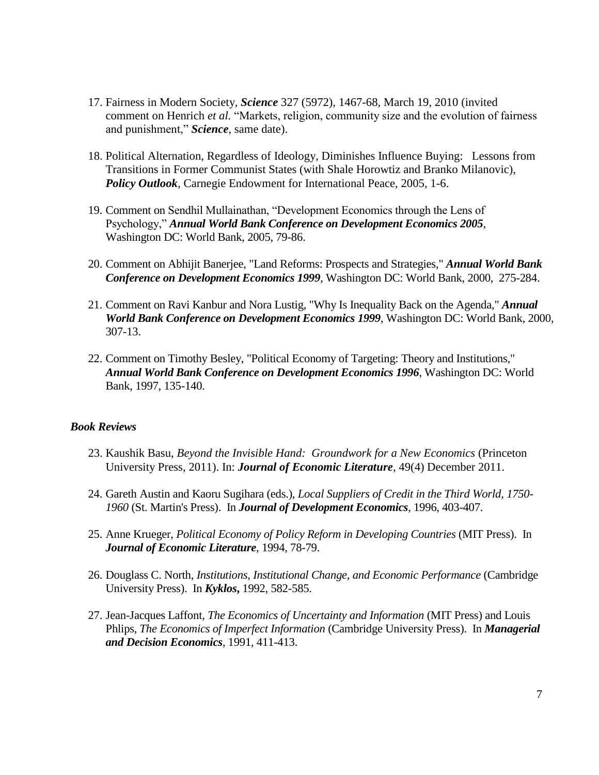- 17. Fairness in Modern Society, *Science* 327 (5972)*,* 1467-68*,* March 19, 2010 (invited comment on Henrich *et al.* "Markets, religion, community size and the evolution of fairness and punishment," *Science,* same date).
- 18. Political Alternation, Regardless of Ideology, Diminishes Influence Buying: Lessons from Transitions in Former Communist States (with Shale Horowtiz and Branko Milanovic), *Policy Outlook*, Carnegie Endowment for International Peace, 2005, 1-6.
- 19. Comment on Sendhil Mullainathan, "Development Economics through the Lens of Psychology," *Annual World Bank Conference on Development Economics 2005*, Washington DC: World Bank, 2005, 79-86.
- 20. Comment on Abhijit Banerjee, "Land Reforms: Prospects and Strategies," *Annual World Bank Conference on Development Economics 1999*, Washington DC: World Bank, 2000, 275-284.
- 21. Comment on Ravi Kanbur and Nora Lustig, "Why Is Inequality Back on the Agenda," *Annual World Bank Conference on Development Economics 1999*, Washington DC: World Bank, 2000, 307-13.
- 22. Comment on Timothy Besley, "Political Economy of Targeting: Theory and Institutions," *Annual World Bank Conference on Development Economics 1996*, Washington DC: World Bank, 1997, 135-140.

#### *Book Reviews*

- 23. Kaushik Basu, *Beyond the Invisible Hand: Groundwork for a New Economics* (Princeton University Press, 2011). In: *Journal of Economic Literature,* 49(4) December 2011.
- 24. Gareth Austin and Kaoru Sugihara (eds.), *Local Suppliers of Credit in the Third World, 1750- 1960* (St. Martin's Press). In *Journal of Development Economics*, 1996, 403-407.
- 25. Anne Krueger, *Political Economy of Policy Reform in Developing Countries* (MIT Press). In *Journal of Economic Literature*, 1994, 78-79.
- 26. Douglass C. North, *Institutions, Institutional Change, and Economic Performance* (Cambridge University Press). In *Kyklos***,** 1992, 582-585.
- 27. Jean-Jacques Laffont, *The Economics of Uncertainty and Information* (MIT Press) and Louis Phlips, *The Economics of Imperfect Information* (Cambridge University Press). In *Managerial and Decision Economics*, 1991, 411-413.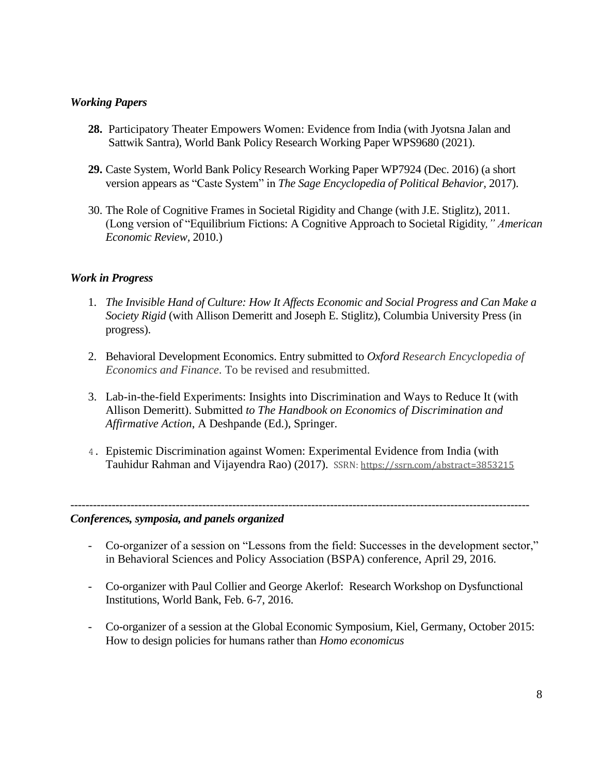# *Working Papers*

- **28.** Participatory Theater Empowers Women: Evidence from India (with Jyotsna Jalan and Sattwik Santra), World Bank Policy Research Working Paper WPS9680 (2021).
- **29.** Caste System, World Bank Policy Research Working Paper WP7924 (Dec. 2016) (a short version appears as "Caste System" in *The Sage Encyclopedia of Political Behavior,* 2017).
- 30. The Role of Cognitive Frames in Societal Rigidity and Change (with J.E. Stiglitz), 2011. (Long version of "Equilibrium Fictions: A Cognitive Approach to Societal Rigidity*," American Economic Review,* 2010.)

# *Work in Progress*

- 1. *The Invisible Hand of Culture: How It Affects Economic and Social Progress and Can Make a Society Rigid* (with Allison Demeritt and Joseph E. Stiglitz), Columbia University Press (in progress).
- 2. Behavioral Development Economics. Entry submitted to *Oxford Research Encyclopedia of Economics and Finance*. To be revised and resubmitted.
- 3. Lab-in-the-field Experiments: Insights into Discrimination and Ways to Reduce It (with Allison Demeritt). Submitted *to The Handbook on Economics of Discrimination and Affirmative Action*, A Deshpande (Ed.), Springer.
- 4. Epistemic Discrimination against Women: Experimental Evidence from India (with Tauhidur Rahman and Vijayendra Rao) (2017). SSRN: <https://ssrn.com/abstract=3853215>

--------------------------------------------------------------------------------------------------------------------------

### *Conferences, symposia, and panels organized*

- Co-organizer of a session on "Lessons from the field: Successes in the development sector," in Behavioral Sciences and Policy Association (BSPA) conference, April 29, 2016.
- Co-organizer with Paul Collier and George Akerlof: Research Workshop on Dysfunctional Institutions, World Bank, Feb. 6-7, 2016.
- Co-organizer of a session at the Global Economic Symposium, Kiel, Germany, October 2015: How to design policies for humans rather than *Homo economicus*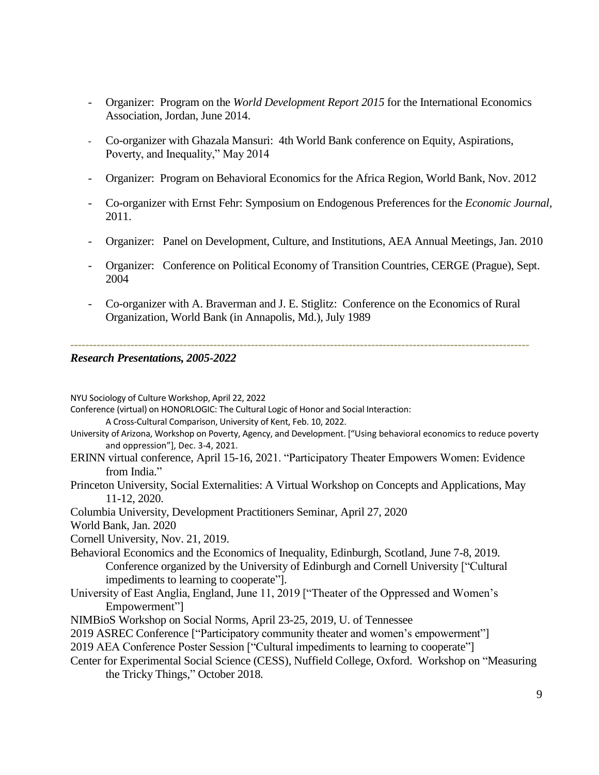- Organizer: Program on the *World Development Report 2015* for the International Economics Association, Jordan, June 2014.
- Co-organizer with Ghazala Mansuri: 4th World Bank conference on Equity, Aspirations, Poverty, and Inequality," May 2014
- Organizer: Program on Behavioral Economics for the Africa Region, World Bank, Nov. 2012
- Co-organizer with Ernst Fehr: Symposium on Endogenous Preferences for the *Economic Journal,*  2011.
- Organizer: Panel on Development, Culture, and Institutions, AEA Annual Meetings, Jan. 2010
- Organizer: Conference on Political Economy of Transition Countries, CERGE (Prague), Sept. 2004
- Co-organizer with A. Braverman and J. E. Stiglitz: Conference on the Economics of Rural Organization, World Bank (in Annapolis, Md.), July 1989

*--------------------------------------------------------------------------------------------------------------------------*

#### *Research Presentations, 2005-2022*

NYU Sociology of Culture Workshop, April 22, 2022

Conference (virtual) on HONORLOGIC: The Cultural Logic of Honor and Social Interaction:

A Cross-Cultural Comparison, University of Kent, Feb. 10, 2022.

- University of Arizona, Workshop on Poverty, Agency, and Development. ["Using behavioral economics to reduce poverty and oppression"], Dec. 3-4, 2021.
- ERINN virtual conference, April 15-16, 2021. "Participatory Theater Empowers Women: Evidence from India."
- Princeton University, Social Externalities: A Virtual Workshop on Concepts and Applications, May 11-12, 2020.

Columbia University, Development Practitioners Seminar, April 27, 2020

World Bank, Jan. 2020

Cornell University, Nov. 21, 2019.

- Behavioral Economics and the Economics of Inequality, Edinburgh, Scotland, June 7-8, 2019. Conference organized by the University of Edinburgh and Cornell University ["Cultural impediments to learning to cooperate"].
- University of East Anglia, England, June 11, 2019 ["Theater of the Oppressed and Women's Empowerment"]
- NIMBioS Workshop on Social Norms, April 23-25, 2019, U. of Tennessee
- 2019 ASREC Conference [\["Participatory community theater and women's empowerment"\]](https://cess-nuffield.nuff.ox.ac.uk/)

[2019 AEA Conference Poster Session \["Cultural impediments to learning to cooperate"\]](https://cess-nuffield.nuff.ox.ac.uk/)

[Center for Experimental Social Science \(CESS\),](https://cess-nuffield.nuff.ox.ac.uk/) Nuffield College, Oxford. Workshop on "Measuring the Tricky Things," October 2018.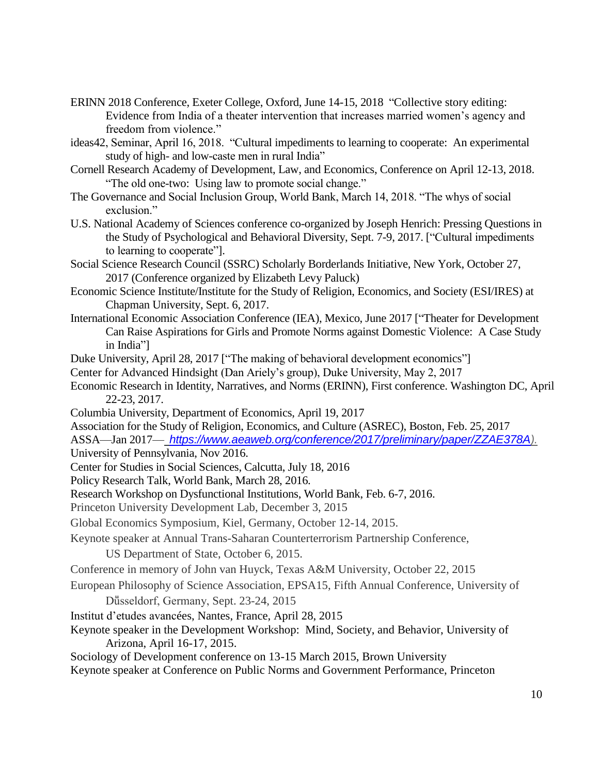- ERINN 2018 Conference, Exeter College, Oxford, June 14-15, 2018 "Collective story editing: Evidence from India of a theater intervention that increases married women's agency and freedom from violence."
- ideas42, Seminar, April 16, 2018. "Cultural impediments to learning to cooperate: An experimental study of high- and low-caste men in rural India"
- Cornell Research Academy of Development, Law, and Economics, Conference on April 12-13, 2018. "The old one-two: Using law to promote social change."
- The Governance and Social Inclusion Group, World Bank, March 14, 2018. "The whys of social exclusion."
- U.S. National Academy of Sciences conference co-organized by Joseph Henrich: Pressing Questions in the Study of Psychological and Behavioral Diversity, Sept. 7-9, 2017. ["Cultural impediments to learning to cooperate"].
- Social Science Research Council (SSRC) Scholarly Borderlands Initiative, New York, October 27, 2017 (Conference organized by Elizabeth Levy Paluck)
- Economic Science Institute/Institute for the Study of Religion, Economics, and Society (ESI/IRES) at Chapman University, Sept. 6, 2017.
- International Economic Association Conference (IEA), Mexico, June 2017 ["Theater for Development Can Raise Aspirations for Girls and Promote Norms against Domestic Violence: A Case Study in India"]
- Duke University, April 28, 2017 ["The making of behavioral development economics"]
- Center for Advanced Hindsight (Dan Ariely's group), Duke University, May 2, 2017
- Economic Research in Identity, Narratives, and Norms (ERINN), First conference. Washington DC, April 22-23, 2017.
- Columbia University, Department of Economics, April 19, 2017
- Association for the Study of Religion, Economics, and Culture (ASREC), Boston, Feb. 25, 2017
- ASSA—Jan 2017— *[https://www.aeaweb.org/conference/2017/preliminary/paper/ZZAE378A\)](https://www.aeaweb.org/conference/2017/preliminary/paper/ZZAE378A).* University of Pennsylvania, Nov 2016.
- Center for Studies in Social Sciences, Calcutta, July 18, 2016
- Policy Research Talk, World Bank, March 28, 2016.
- Research Workshop on Dysfunctional Institutions, World Bank, Feb. 6-7, 2016.
- Princeton University Development Lab, December 3, 2015
- Global Economics Symposium, Kiel, Germany, October 12-14, 2015.
- Keynote speaker at Annual Trans-Saharan Counterterrorism Partnership Conference,
	- US Department of State, October 6, 2015.
- Conference in memory of John van Huyck, Texas A&M University, October 22, 2015
- European Philosophy of Science Association, EPSA15, Fifth Annual Conference, University of Düsseldorf, Germany, Sept. 23-24, 2015
- Institut d'etudes avancées, Nantes, France, April 28, 2015
- Keynote speaker in the Development Workshop: Mind, Society, and Behavior, University of Arizona, April 16-17, 2015.
- Sociology of Development conference on 13-15 March 2015, Brown University

Keynote speaker at Conference on Public Norms and Government Performance, Princeton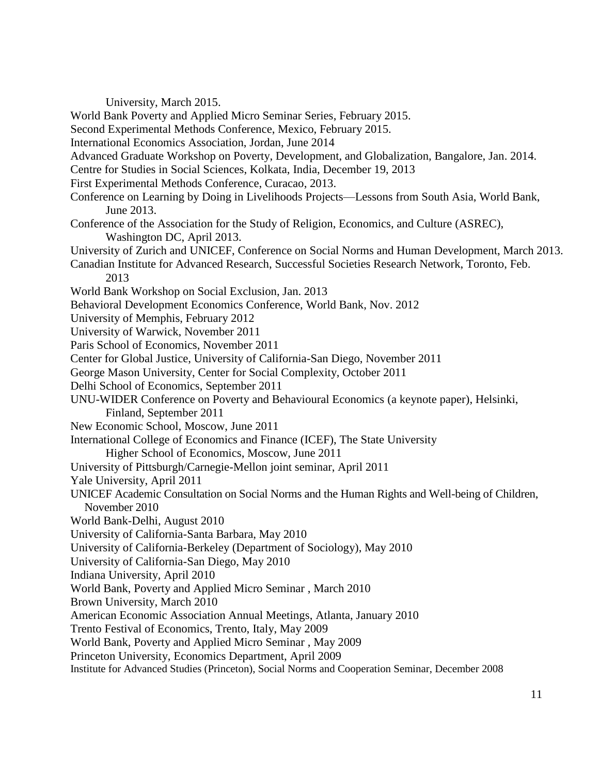University, March 2015.

World Bank Poverty and Applied Micro Seminar Series, February 2015.

Second Experimental Methods Conference, Mexico, February 2015.

International Economics Association, Jordan, June 2014

Advanced Graduate Workshop on Poverty, Development, and Globalization, Bangalore, Jan. 2014.

Centre for Studies in Social Sciences, Kolkata, India, December 19, 2013

First Experimental Methods Conference, Curacao, 2013.

- Conference on Learning by Doing in Livelihoods Projects—Lessons from South Asia, World Bank, June 2013.
- Conference of the Association for the Study of Religion, Economics, and Culture (ASREC), Washington DC, April 2013.
- University of Zurich and UNICEF, Conference on Social Norms and Human Development, March 2013.
- Canadian Institute for Advanced Research, Successful Societies Research Network, Toronto, Feb. 2013
- World Bank Workshop on Social Exclusion, Jan. 2013
- Behavioral Development Economics Conference, World Bank, Nov. 2012
- University of Memphis, February 2012
- University of Warwick, November 2011
- Paris School of Economics, November 2011

Center for Global Justice, University of California-San Diego, November 2011

George Mason University, Center for Social Complexity, October 2011

Delhi School of Economics, September 2011

UNU-WIDER Conference on Poverty and Behavioural Economics (a keynote paper), Helsinki, Finland, September 2011

- New Economic School, Moscow, June 2011
- International College of Economics and Finance (ICEF), The State University Higher School of Economics, Moscow, June 2011
- University of Pittsburgh/Carnegie-Mellon joint seminar, April 2011
- Yale University, April 2011
- UNICEF Academic Consultation on Social Norms and the Human Rights and Well-being of Children, November 2010
- World Bank-Delhi, August 2010
- University of California-Santa Barbara, May 2010
- University of California-Berkeley (Department of Sociology), May 2010
- University of California-San Diego, May 2010
- Indiana University, April 2010
- World Bank, Poverty and Applied Micro Seminar , March 2010
- Brown University, March 2010

American Economic Association Annual Meetings, Atlanta, January 2010

Trento Festival of Economics, Trento, Italy, May 2009

World Bank, Poverty and Applied Micro Seminar , May 2009

Princeton University, Economics Department, April 2009

Institute for Advanced Studies (Princeton), Social Norms and Cooperation Seminar, December 2008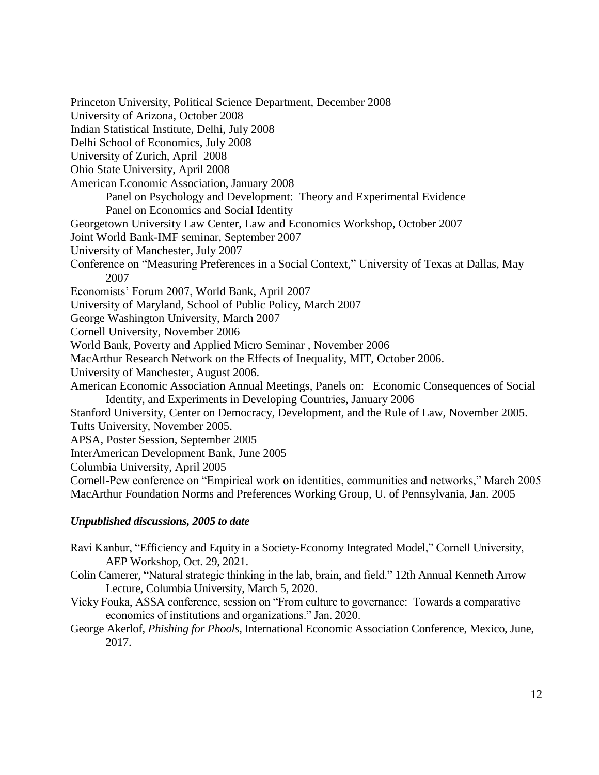Princeton University, Political Science Department, December 2008 University of Arizona, October 2008 Indian Statistical Institute, Delhi, July 2008 Delhi School of Economics, July 2008 University of Zurich, April 2008 Ohio State University, April 2008 American Economic Association, January 2008 Panel on Psychology and Development: Theory and Experimental Evidence Panel on Economics and Social Identity Georgetown University Law Center, Law and Economics Workshop, October 2007 Joint World Bank-IMF seminar, September 2007 University of Manchester, July 2007 Conference on "Measuring Preferences in a Social Context," University of Texas at Dallas, May 2007 Economists' Forum 2007, World Bank, April 2007 University of Maryland, School of Public Policy, March 2007 George Washington University, March 2007 Cornell University, November 2006 World Bank, Poverty and Applied Micro Seminar , November 2006 MacArthur Research Network on the Effects of Inequality, MIT, October 2006. University of Manchester, August 2006. American Economic Association Annual Meetings, Panels on: Economic Consequences of Social Identity, and Experiments in Developing Countries, January 2006 Stanford University, Center on Democracy, Development, and the Rule of Law, November 2005. Tufts University, November 2005. APSA, Poster Session, September 2005 InterAmerican Development Bank, June 2005 Columbia University, April 2005 Cornell-Pew conference on "Empirical work on identities, communities and networks," March 2005 MacArthur Foundation Norms and Preferences Working Group, U. of Pennsylvania, Jan. 2005

# *Unpublished discussions, 2005 to date*

Ravi Kanbur, "Efficiency and Equity in a Society-Economy Integrated Model," Cornell University, AEP Workshop, Oct. 29, 2021.

- Colin Camerer, "Natural strategic thinking in the lab, brain, and field." 12th Annual Kenneth Arrow Lecture, Columbia University, March 5, 2020.
- Vicky Fouka, ASSA conference, session on "From culture to governance: Towards a comparative economics of institutions and organizations." Jan. 2020.

George Akerlof, *Phishing for Phools,* International Economic Association Conference, Mexico, June, 2017.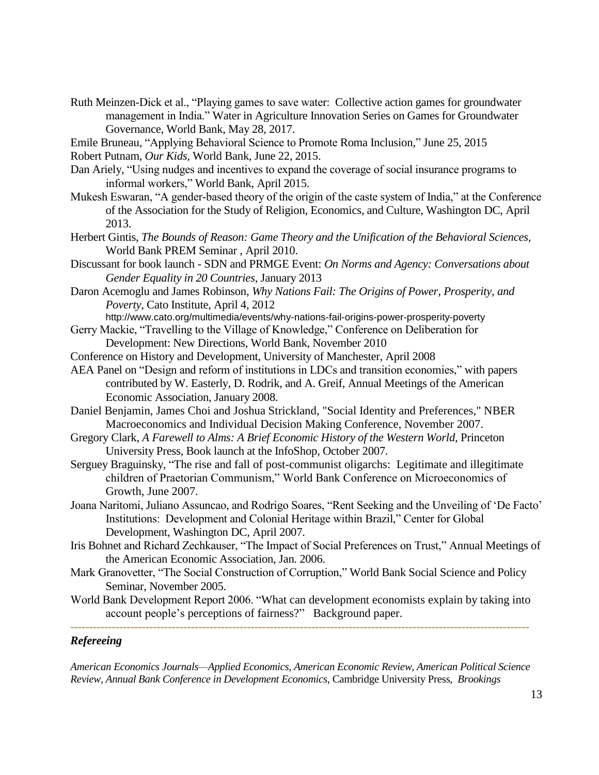Ruth Meinzen-Dick et al., "Playing games to save water: Collective action games for groundwater management in India." Water in Agriculture Innovation Series on Games for Groundwater Governance, World Bank, May 28, 2017.

Emile Bruneau, "Applying Behavioral Science to Promote Roma Inclusion," June 25, 2015

Robert Putnam, *Our Kids,* World Bank, June 22, 2015.

- Dan Ariely, "Using nudges and incentives to expand the coverage of social insurance programs to informal workers," World Bank, April 2015.
- Mukesh Eswaran, "A gender-based theory of the origin of the caste system of India," at the Conference of the Association for the Study of Religion, Economics, and Culture, Washington DC, April 2013.
- Herbert Gintis, *The Bounds of Reason: Game Theory and the Unification of the Behavioral Sciences,*  World Bank PREM Seminar , April 2010.
- Discussant for book launch SDN and PRMGE Event: *On Norms and Agency: Conversations about Gender Equality in 20 Countries,* January 2013
- Daron Acemoglu and James Robinson, *Why Nations Fail: The Origins of Power, Prosperity, and Poverty*, Cato Institute, April 4, 2012

http://www.cato.org/multimedia/events/why-nations-fail-origins-power-prosperity-poverty

- Gerry Mackie, "Travelling to the Village of Knowledge," Conference on Deliberation for Development: New Directions, World Bank, November 2010
- Conference on History and Development, University of Manchester, April 2008
- AEA Panel on "Design and reform of institutions in LDCs and transition economies," with papers contributed by W. Easterly, D. Rodrik, and A. Greif, Annual Meetings of the American Economic Association, January 2008.
- Daniel Benjamin, James Choi and Joshua Strickland, "Social Identity and Preferences," NBER Macroeconomics and Individual Decision Making Conference, November 2007.
- Gregory Clark, *A Farewell to Alms: A Brief Economic History of the Western World*, Princeton University Press, Book launch at the InfoShop, October 2007.
- Serguey Braguinsky, "The rise and fall of post-communist oligarchs: Legitimate and illegitimate children of Praetorian Communism," World Bank Conference on Microeconomics of Growth, June 2007.
- Joana Naritomi, Juliano Assuncao, and Rodrigo Soares, "Rent Seeking and the Unveiling of 'De Facto' Institutions: Development and Colonial Heritage within Brazil," Center for Global Development, Washington DC, April 2007.
- Iris Bohnet and Richard Zechkauser, "The Impact of Social Preferences on Trust," Annual Meetings of the American Economic Association, Jan. 2006.
- Mark Granovetter, "The Social Construction of Corruption," World Bank Social Science and Policy Seminar, November 2005.
- World Bank Development Report 2006. "What can development economists explain by taking into account people's perceptions of fairness?" Background paper. *--------------------------------------------------------------------------------------------------------------------------*

# *Refereeing*

*American Economics Journals—Applied Economics, American Economic Review, American Political Science Review, Annual Bank Conference in Development Economics*, Cambridge University Press, *Brookings*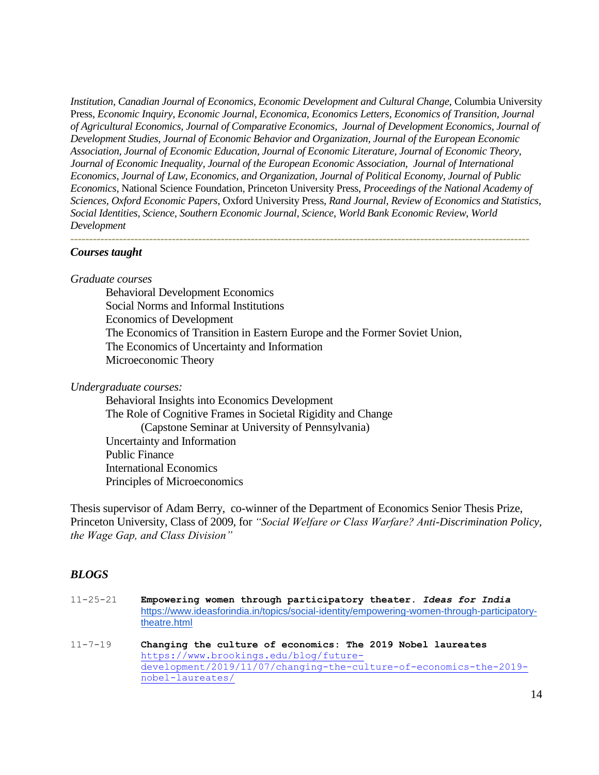*Institution, Canadian Journal of Economics, Economic Development and Cultural Change,* Columbia University Press, *Economic Inquiry, Economic Journal, Economica, Economics Letters, Economics of Transition, Journal of Agricultural Economics, Journal of Comparative Economics, Journal of Development Economics, Journal of Development Studies, Journal of Economic Behavior and Organization, Journal of the European Economic Association, Journal of Economic Education, Journal of Economic Literature, Journal of Economic Theory, Journal of Economic Inequality, Journal of the European Economic Association, Journal of International Economics, Journal of Law, Economics, and Organization, Journal of Political Economy, Journal of Public Economics,* National Science Foundation, Princeton University Press, *Proceedings of the National Academy of Sciences, Oxford Economic Papers,* Oxford University Press, *Rand Journal, Review of Economics and Statistics, Social Identities, Science, Southern Economic Journal, Science*, *World Bank Economic Review*, *World Development*

*--------------------------------------------------------------------------------------------------------------------------*

### *Courses taught*

#### *Graduate courses*

Behavioral Development Economics Social Norms and Informal Institutions Economics of Development The Economics of Transition in Eastern Europe and the Former Soviet Union, The Economics of Uncertainty and Information Microeconomic Theory

#### *Undergraduate courses:*

Behavioral Insights into Economics Development The Role of Cognitive Frames in Societal Rigidity and Change (Capstone Seminar at University of Pennsylvania) Uncertainty and Information Public Finance International Economics Principles of Microeconomics

Thesis supervisor of Adam Berry, co-winner of the Department of Economics Senior Thesis Prize, Princeton University, Class of 2009, for *"Social Welfare or Class Warfare? Anti-Discrimination Policy, the Wage Gap, and Class Division"* 

#### *BLOGS*

| $11 - 25 - 21$ | Empowering women through participatory theater. Ideas for India<br>https://www.ideasforindia.in/topics/social-identity/empowering-women-through-participatory-<br>theatre.html                  |
|----------------|-------------------------------------------------------------------------------------------------------------------------------------------------------------------------------------------------|
| $11 - 7 - 19$  | Changing the culture of economics: The 2019 Nobel laureates<br>https://www.brookings.edu/blog/future-<br>development/2019/11/07/changing-the-culture-of-economics-the-2019-<br>nobel-laureates/ |